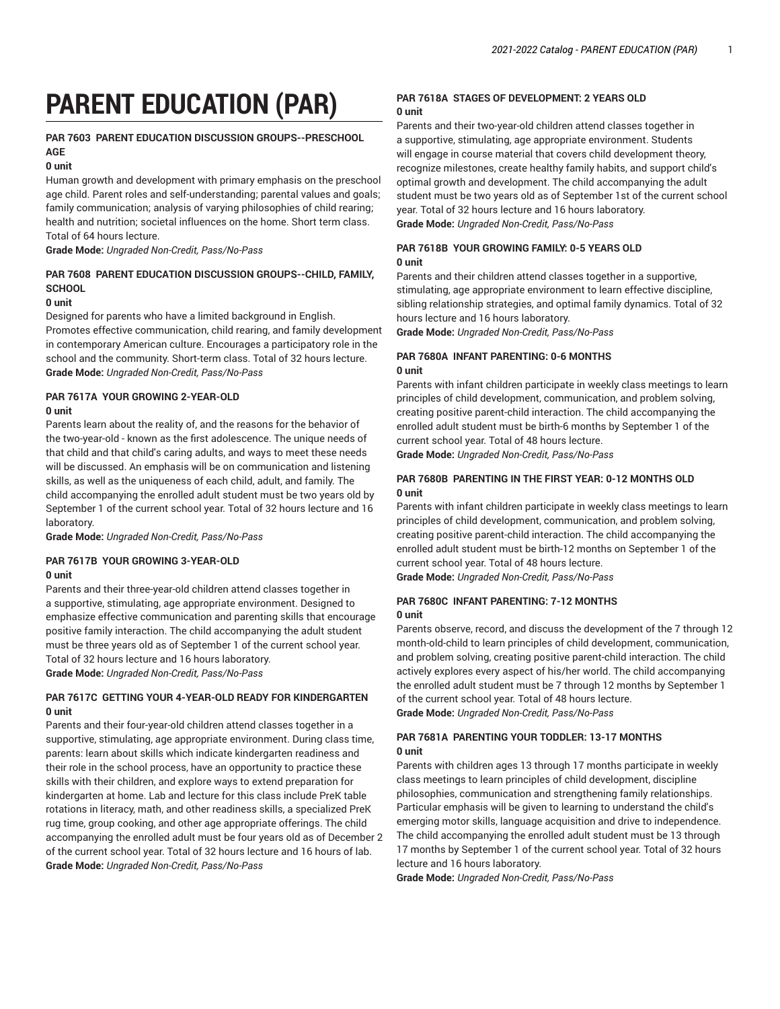# **PARENT EDUCATION (PAR)**

#### **PAR 7603 PARENT EDUCATION DISCUSSION GROUPS--PRESCHOOL AGE**

## **0 unit**

Human growth and development with primary emphasis on the preschool age child. Parent roles and self-understanding; parental values and goals; family communication; analysis of varying philosophies of child rearing; health and nutrition; societal influences on the home. Short term class. Total of 64 hours lecture.

**Grade Mode:** *Ungraded Non-Credit, Pass/No-Pass*

# **PAR 7608 PARENT EDUCATION DISCUSSION GROUPS--CHILD, FAMILY, SCHOOL**

#### **0 unit**

Designed for parents who have a limited background in English.

Promotes effective communication, child rearing, and family development in contemporary American culture. Encourages a participatory role in the school and the community. Short-term class. Total of 32 hours lecture. **Grade Mode:** *Ungraded Non-Credit, Pass/No-Pass*

# **PAR 7617A YOUR GROWING 2-YEAR-OLD 0 unit**

Parents learn about the reality of, and the reasons for the behavior of the two-year-old - known as the first adolescence. The unique needs of that child and that child's caring adults, and ways to meet these needs will be discussed. An emphasis will be on communication and listening skills, as well as the uniqueness of each child, adult, and family. The child accompanying the enrolled adult student must be two years old by September 1 of the current school year. Total of 32 hours lecture and 16 laboratory.

**Grade Mode:** *Ungraded Non-Credit, Pass/No-Pass*

#### **PAR 7617B YOUR GROWING 3-YEAR-OLD 0 unit**

Parents and their three-year-old children attend classes together in a supportive, stimulating, age appropriate environment. Designed to emphasize effective communication and parenting skills that encourage positive family interaction. The child accompanying the adult student must be three years old as of September 1 of the current school year. Total of 32 hours lecture and 16 hours laboratory. **Grade Mode:** *Ungraded Non-Credit, Pass/No-Pass*

**PAR 7617C GETTING YOUR 4-YEAR-OLD READY FOR KINDERGARTEN 0 unit**

Parents and their four-year-old children attend classes together in a supportive, stimulating, age appropriate environment. During class time, parents: learn about skills which indicate kindergarten readiness and their role in the school process, have an opportunity to practice these skills with their children, and explore ways to extend preparation for kindergarten at home. Lab and lecture for this class include PreK table rotations in literacy, math, and other readiness skills, a specialized PreK rug time, group cooking, and other age appropriate offerings. The child accompanying the enrolled adult must be four years old as of December 2 of the current school year. Total of 32 hours lecture and 16 hours of lab. **Grade Mode:** *Ungraded Non-Credit, Pass/No-Pass*

# **PAR 7618A STAGES OF DEVELOPMENT: 2 YEARS OLD 0 unit**

Parents and their two-year-old children attend classes together in a supportive, stimulating, age appropriate environment. Students will engage in course material that covers child development theory, recognize milestones, create healthy family habits, and support child's optimal growth and development. The child accompanying the adult student must be two years old as of September 1st of the current school year. Total of 32 hours lecture and 16 hours laboratory. **Grade Mode:** *Ungraded Non-Credit, Pass/No-Pass*

# **PAR 7618B YOUR GROWING FAMILY: 0-5 YEARS OLD 0 unit**

Parents and their children attend classes together in a supportive, stimulating, age appropriate environment to learn effective discipline, sibling relationship strategies, and optimal family dynamics. Total of 32 hours lecture and 16 hours laboratory.

**Grade Mode:** *Ungraded Non-Credit, Pass/No-Pass*

# **PAR 7680A INFANT PARENTING: 0-6 MONTHS 0 unit**

Parents with infant children participate in weekly class meetings to learn principles of child development, communication, and problem solving, creating positive parent-child interaction. The child accompanying the enrolled adult student must be birth-6 months by September 1 of the current school year. Total of 48 hours lecture.

**Grade Mode:** *Ungraded Non-Credit, Pass/No-Pass*

# **PAR 7680B PARENTING IN THE FIRST YEAR: 0-12 MONTHS OLD 0 unit**

Parents with infant children participate in weekly class meetings to learn principles of child development, communication, and problem solving, creating positive parent-child interaction. The child accompanying the enrolled adult student must be birth-12 months on September 1 of the current school year. Total of 48 hours lecture.

**Grade Mode:** *Ungraded Non-Credit, Pass/No-Pass*

# **PAR 7680C INFANT PARENTING: 7-12 MONTHS 0 unit**

Parents observe, record, and discuss the development of the 7 through 12 month-old-child to learn principles of child development, communication, and problem solving, creating positive parent-child interaction. The child actively explores every aspect of his/her world. The child accompanying the enrolled adult student must be 7 through 12 months by September 1 of the current school year. Total of 48 hours lecture. **Grade Mode:** *Ungraded Non-Credit, Pass/No-Pass*

**PAR 7681A PARENTING YOUR TODDLER: 13-17 MONTHS**

#### **0 unit**

Parents with children ages 13 through 17 months participate in weekly class meetings to learn principles of child development, discipline philosophies, communication and strengthening family relationships. Particular emphasis will be given to learning to understand the child's emerging motor skills, language acquisition and drive to independence. The child accompanying the enrolled adult student must be 13 through 17 months by September 1 of the current school year. Total of 32 hours lecture and 16 hours laboratory.

**Grade Mode:** *Ungraded Non-Credit, Pass/No-Pass*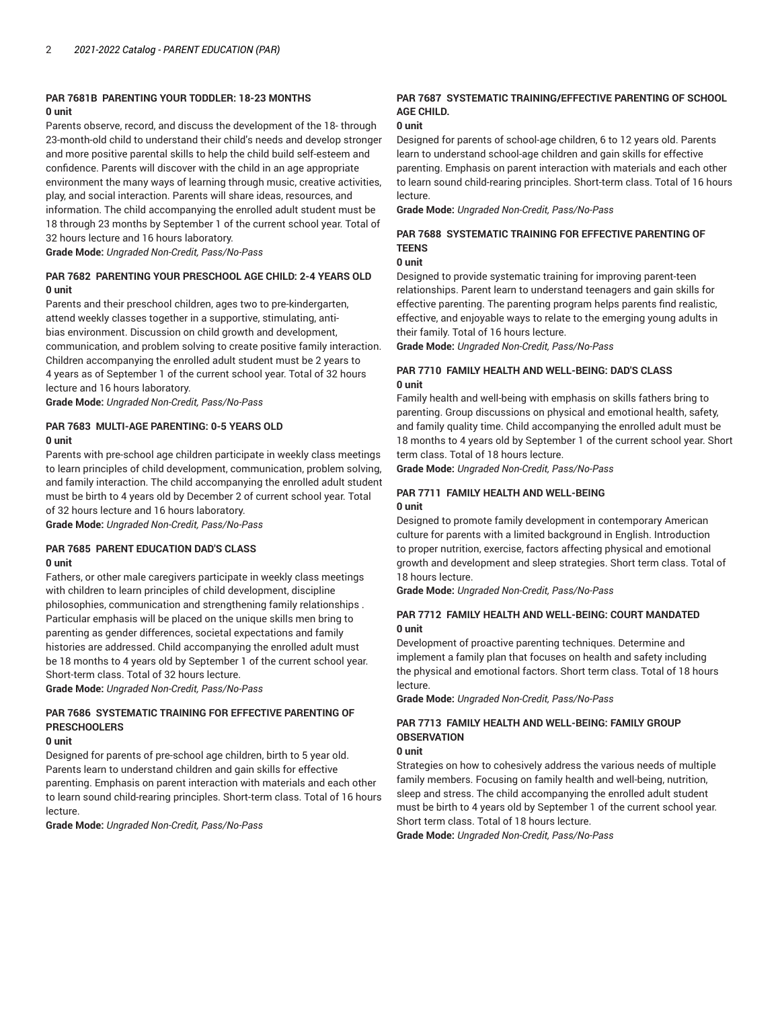# **PAR 7681B PARENTING YOUR TODDLER: 18-23 MONTHS 0 unit**

Parents observe, record, and discuss the development of the 18- through 23-month-old child to understand their child's needs and develop stronger and more positive parental skills to help the child build self-esteem and confidence. Parents will discover with the child in an age appropriate environment the many ways of learning through music, creative activities, play, and social interaction. Parents will share ideas, resources, and information. The child accompanying the enrolled adult student must be 18 through 23 months by September 1 of the current school year. Total of 32 hours lecture and 16 hours laboratory.

**Grade Mode:** *Ungraded Non-Credit, Pass/No-Pass*

# **PAR 7682 PARENTING YOUR PRESCHOOL AGE CHILD: 2-4 YEARS OLD 0 unit**

Parents and their preschool children, ages two to pre-kindergarten, attend weekly classes together in a supportive, stimulating, antibias environment. Discussion on child growth and development, communication, and problem solving to create positive family interaction. Children accompanying the enrolled adult student must be 2 years to 4 years as of September 1 of the current school year. Total of 32 hours lecture and 16 hours laboratory.

**Grade Mode:** *Ungraded Non-Credit, Pass/No-Pass*

# **PAR 7683 MULTI-AGE PARENTING: 0-5 YEARS OLD 0 unit**

Parents with pre-school age children participate in weekly class meetings to learn principles of child development, communication, problem solving, and family interaction. The child accompanying the enrolled adult student must be birth to 4 years old by December 2 of current school year. Total of 32 hours lecture and 16 hours laboratory.

**Grade Mode:** *Ungraded Non-Credit, Pass/No-Pass*

# **PAR 7685 PARENT EDUCATION DAD'S CLASS 0 unit**

Fathers, or other male caregivers participate in weekly class meetings with children to learn principles of child development, discipline philosophies, communication and strengthening family relationships . Particular emphasis will be placed on the unique skills men bring to parenting as gender differences, societal expectations and family histories are addressed. Child accompanying the enrolled adult must be 18 months to 4 years old by September 1 of the current school year. Short-term class. Total of 32 hours lecture.

**Grade Mode:** *Ungraded Non-Credit, Pass/No-Pass*

# **PAR 7686 SYSTEMATIC TRAINING FOR EFFECTIVE PARENTING OF PRESCHOOLERS**

#### **0 unit**

Designed for parents of pre-school age children, birth to 5 year old. Parents learn to understand children and gain skills for effective parenting. Emphasis on parent interaction with materials and each other to learn sound child-rearing principles. Short-term class. Total of 16 hours lecture.

**Grade Mode:** *Ungraded Non-Credit, Pass/No-Pass*

# **PAR 7687 SYSTEMATIC TRAINING/EFFECTIVE PARENTING OF SCHOOL AGE CHILD.**

#### **0 unit**

Designed for parents of school-age children, 6 to 12 years old. Parents learn to understand school-age children and gain skills for effective parenting. Emphasis on parent interaction with materials and each other to learn sound child-rearing principles. Short-term class. Total of 16 hours lecture.

**Grade Mode:** *Ungraded Non-Credit, Pass/No-Pass*

# **PAR 7688 SYSTEMATIC TRAINING FOR EFFECTIVE PARENTING OF TEENS**

#### **0 unit**

Designed to provide systematic training for improving parent-teen relationships. Parent learn to understand teenagers and gain skills for effective parenting. The parenting program helps parents find realistic, effective, and enjoyable ways to relate to the emerging young adults in their family. Total of 16 hours lecture.

**Grade Mode:** *Ungraded Non-Credit, Pass/No-Pass*

# **PAR 7710 FAMILY HEALTH AND WELL-BEING: DAD'S CLASS 0 unit**

Family health and well-being with emphasis on skills fathers bring to parenting. Group discussions on physical and emotional health, safety, and family quality time. Child accompanying the enrolled adult must be 18 months to 4 years old by September 1 of the current school year. Short term class. Total of 18 hours lecture.

**Grade Mode:** *Ungraded Non-Credit, Pass/No-Pass*

## **PAR 7711 FAMILY HEALTH AND WELL-BEING 0 unit**

Designed to promote family development in contemporary American culture for parents with a limited background in English. Introduction to proper nutrition, exercise, factors affecting physical and emotional growth and development and sleep strategies. Short term class. Total of 18 hours lecture.

**Grade Mode:** *Ungraded Non-Credit, Pass/No-Pass*

# **PAR 7712 FAMILY HEALTH AND WELL-BEING: COURT MANDATED 0 unit**

Development of proactive parenting techniques. Determine and implement a family plan that focuses on health and safety including the physical and emotional factors. Short term class. Total of 18 hours lecture.

**Grade Mode:** *Ungraded Non-Credit, Pass/No-Pass*

# **PAR 7713 FAMILY HEALTH AND WELL-BEING: FAMILY GROUP OBSERVATION**

# **0 unit**

Strategies on how to cohesively address the various needs of multiple family members. Focusing on family health and well-being, nutrition, sleep and stress. The child accompanying the enrolled adult student must be birth to 4 years old by September 1 of the current school year. Short term class. Total of 18 hours lecture.

**Grade Mode:** *Ungraded Non-Credit, Pass/No-Pass*